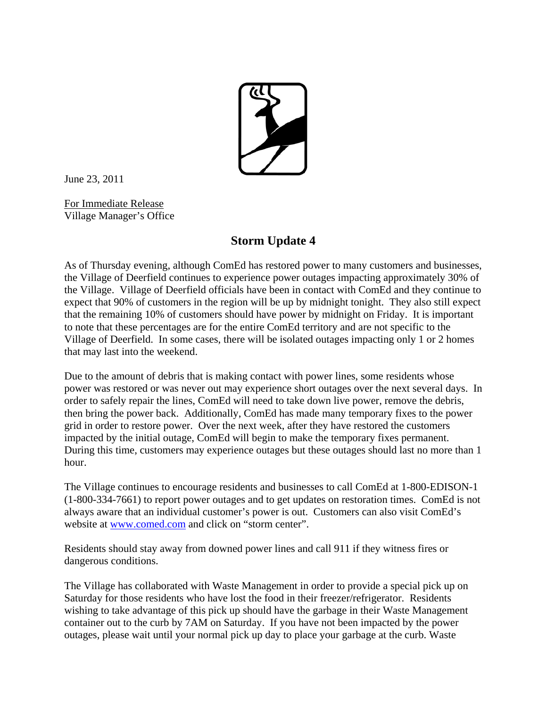

June 23, 2011

For Immediate Release Village Manager's Office

## **Storm Update 4**

As of Thursday evening, although ComEd has restored power to many customers and businesses, the Village of Deerfield continues to experience power outages impacting approximately 30% of the Village. Village of Deerfield officials have been in contact with ComEd and they continue to expect that 90% of customers in the region will be up by midnight tonight. They also still expect that the remaining 10% of customers should have power by midnight on Friday. It is important to note that these percentages are for the entire ComEd territory and are not specific to the Village of Deerfield. In some cases, there will be isolated outages impacting only 1 or 2 homes that may last into the weekend.

Due to the amount of debris that is making contact with power lines, some residents whose power was restored or was never out may experience short outages over the next several days. In order to safely repair the lines, ComEd will need to take down live power, remove the debris, then bring the power back. Additionally, ComEd has made many temporary fixes to the power grid in order to restore power. Over the next week, after they have restored the customers impacted by the initial outage, ComEd will begin to make the temporary fixes permanent. During this time, customers may experience outages but these outages should last no more than 1 hour.

The Village continues to encourage residents and businesses to call ComEd at 1-800-EDISON-1 (1-800-334-7661) to report power outages and to get updates on restoration times. ComEd is not always aware that an individual customer's power is out. Customers can also visit ComEd's website at www.comed.com and click on "storm center".

Residents should stay away from downed power lines and call 911 if they witness fires or dangerous conditions.

The Village has collaborated with Waste Management in order to provide a special pick up on Saturday for those residents who have lost the food in their freezer/refrigerator. Residents wishing to take advantage of this pick up should have the garbage in their Waste Management container out to the curb by 7AM on Saturday. If you have not been impacted by the power outages, please wait until your normal pick up day to place your garbage at the curb. Waste